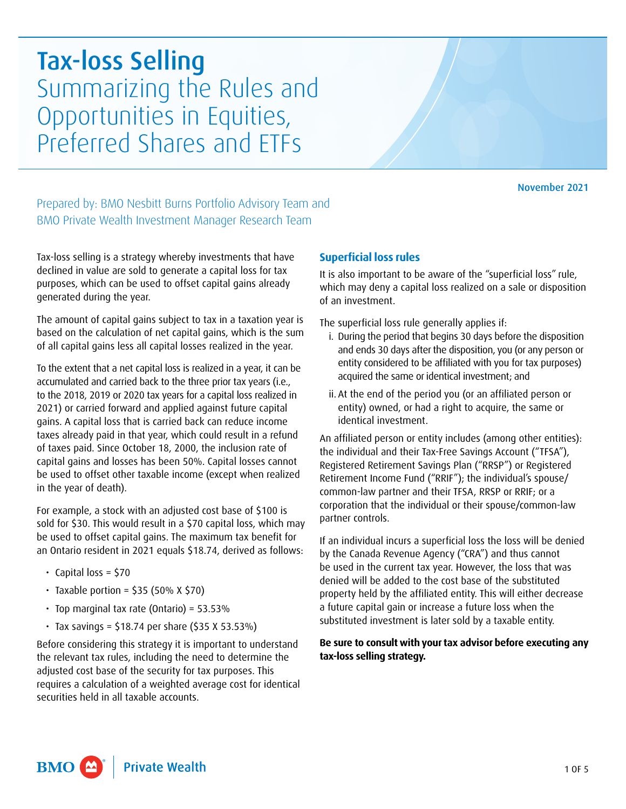# Tax-loss Selling Summarizing the Rules and Opportunities in Equities, Preferred Shares and ETFs

November 2021

Prepared by: BMO Nesbitt Burns Portfolio Advisory Team and BMO Private Wealth Investment Manager Research Team

Tax-loss selling is a strategy whereby investments that have declined in value are sold to generate a capital loss for tax purposes, which can be used to offset capital gains already generated during the year.

The amount of capital gains subject to tax in a taxation year is based on the calculation of net capital gains, which is the sum of all capital gains less all capital losses realized in the year.

To the extent that a net capital loss is realized in a year, it can be accumulated and carried back to the three prior tax years (i.e., to the 2018, 2019 or 2020 tax years for a capital loss realized in 2021) or carried forward and applied against future capital gains. A capital loss that is carried back can reduce income taxes already paid in that year, which could result in a refund of taxes paid. Since October 18, 2000, the inclusion rate of capital gains and losses has been 50%. Capital losses cannot be used to offset other taxable income (except when realized in the year of death).

For example, a stock with an adjusted cost base of \$100 is sold for \$30. This would result in a \$70 capital loss, which may be used to offset capital gains. The maximum tax benefit for an Ontario resident in 2021 equals \$18.74, derived as follows:

- $\cdot$  Capital loss = \$70
- $\cdot$  Taxable portion = \$35 (50% X \$70)
- Top marginal tax rate (Ontario) =  $53.53\%$
- $\cdot$  Tax savings = \$18.74 per share (\$35 X 53.53%)

Before considering this strategy it is important to understand the relevant tax rules, including the need to determine the adjusted cost base of the security for tax purposes. This requires a calculation of a weighted average cost for identical securities held in all taxable accounts.

# **Superficial loss rules**

It is also important to be aware of the "superficial loss" rule, which may deny a capital loss realized on a sale or disposition of an investment.

The superficial loss rule generally applies if:

- and ends 30 days after the disposition, you (or any person or i. During the period that begins 30 days before the disposition entity considered to be affiliated with you for tax purposes) acquired the same or identical investment; and
- ii. At the end of the period you (or an affiliated person or entity) owned, or had a right to acquire, the same or identical investment.

An affiliated person or entity includes (among other entities): the individual and their Tax-Free Savings Account ("TFSA"), Registered Retirement Savings Plan ("RRSP") or Registered Retirement Income Fund ("RRIF"); the individual's spouse/ common-law partner and their TFSA, RRSP or RRIF; or a corporation that the individual or their spouse/common-law partner controls.

If an individual incurs a superficial loss the loss will be denied by the Canada Revenue Agency ("CRA") and thus cannot be used in the current tax year. However, the loss that was denied will be added to the cost base of the substituted property held by the affiliated entity. This will either decrease a future capital gain or increase a future loss when the substituted investment is later sold by a taxable entity.

## **Be sure to consult with yourtax advisor before executing any tax-loss selling strategy.**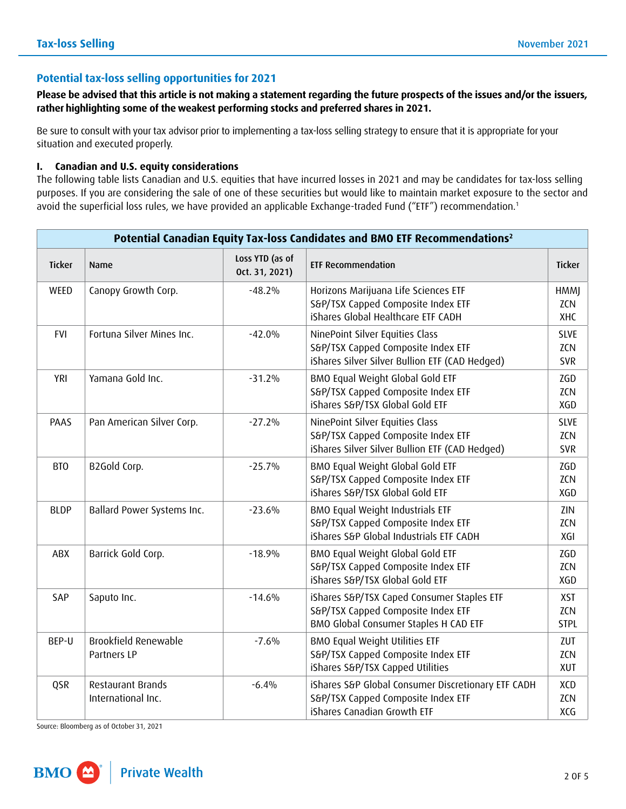# **Potential tax-loss selling opportunities for 2021**

 **Please be advised that this article is not making a statement regarding the future prospects of the issues and/orthe issuers, rather highlighting some of the weakest performing stocks and preferred shares in 2021.**

 Be sure to consult with your tax advisor prior to implementing a tax-loss selling strategy to ensure that it is appropriate for your situation and executed properly.

## **I. Canadian and U.S. equity considerations**

The following table lists Canadian and U.S. equities that have incurred losses in 2021 and may be candidates for tax-loss selling purposes. If you are considering the sale of one of these securities but would like to maintain market exposure to the sector and avoid the superficial loss rules, we have provided an applicable Exchange-traded Fund ("ETF") recommendation.<sup>1</sup>

| Potential Canadian Equity Tax-loss Candidates and BMO ETF Recommendations <sup>2</sup> |                                            |                                   |                                                                                                                           |                                         |  |  |  |  |
|----------------------------------------------------------------------------------------|--------------------------------------------|-----------------------------------|---------------------------------------------------------------------------------------------------------------------------|-----------------------------------------|--|--|--|--|
| <b>Ticker</b>                                                                          | Name                                       | Loss YTD (as of<br>Oct. 31, 2021) | <b>ETF Recommendation</b>                                                                                                 | <b>Ticker</b>                           |  |  |  |  |
| WEED                                                                                   | Canopy Growth Corp.                        | $-48.2%$                          | Horizons Marijuana Life Sciences ETF<br>S&P/TSX Capped Composite Index ETF<br>iShares Global Healthcare ETF CADH          | <b>HMMJ</b><br><b>ZCN</b><br>XHC        |  |  |  |  |
| <b>FVI</b>                                                                             | Fortuna Silver Mines Inc.                  | $-42.0%$                          | NinePoint Silver Equities Class<br>S&P/TSX Capped Composite Index ETF<br>iShares Silver Silver Bullion ETF (CAD Hedged)   |                                         |  |  |  |  |
| <b>YRI</b>                                                                             | Yamana Gold Inc.                           | $-31.2%$                          | BMO Equal Weight Global Gold ETF<br>S&P/TSX Capped Composite Index ETF<br>iShares S&P/TSX Global Gold ETF                 | ZGD<br>ZCN<br>XGD                       |  |  |  |  |
| PAAS                                                                                   | Pan American Silver Corp.                  | $-27.2%$                          | NinePoint Silver Equities Class<br>S&P/TSX Capped Composite Index ETF<br>iShares Silver Silver Bullion ETF (CAD Hedged)   | <b>SLVE</b><br><b>ZCN</b><br><b>SVR</b> |  |  |  |  |
| BTO                                                                                    | B2Gold Corp.                               | $-25.7%$                          | BMO Equal Weight Global Gold ETF<br>S&P/TSX Capped Composite Index ETF<br>iShares S&P/TSX Global Gold ETF                 | ZGD<br>ZCN<br>XGD                       |  |  |  |  |
| <b>BLDP</b>                                                                            | Ballard Power Systems Inc.                 | $-23.6%$                          | BMO Equal Weight Industrials ETF<br>S&P/TSX Capped Composite Index ETF<br>iShares S&P Global Industrials ETF CADH         | ZIN<br>ZCN<br>XGI                       |  |  |  |  |
| ABX                                                                                    | Barrick Gold Corp.                         | $-18.9%$                          | BMO Equal Weight Global Gold ETF<br>S&P/TSX Capped Composite Index ETF<br>iShares S&P/TSX Global Gold ETF                 | ZGD<br>ZCN<br>XGD                       |  |  |  |  |
| SAP                                                                                    | Saputo Inc.                                | $-14.6%$                          | iShares S&P/TSX Caped Consumer Staples ETF<br>S&P/TSX Capped Composite Index ETF<br>BMO Global Consumer Staples H CAD ETF | <b>XST</b><br><b>ZCN</b><br><b>STPL</b> |  |  |  |  |
| BEP-U                                                                                  | <b>Brookfield Renewable</b><br>Partners LP | $-7.6%$                           | BMO Equal Weight Utilities ETF<br>S&P/TSX Capped Composite Index ETF<br>iShares S&P/TSX Capped Utilities                  | ZUT<br><b>ZCN</b><br>XUT                |  |  |  |  |
| QSR                                                                                    | Restaurant Brands<br>International Inc.    | $-6.4%$                           | iShares S&P Global Consumer Discretionary ETF CADH<br>S&P/TSX Capped Composite Index ETF<br>iShares Canadian Growth ETF   | XCD<br>ZCN<br>XCG                       |  |  |  |  |

Source: Bloomberg as of October 31, 2021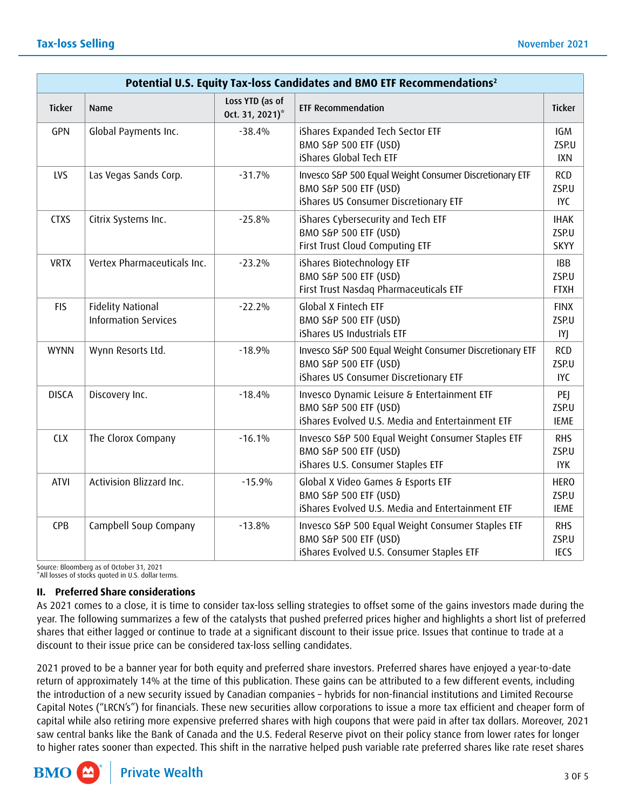| Potential U.S. Equity Tax-loss Candidates and BMO ETF Recommendations <sup>2</sup> |                                                         |                                    |                                                                                                                           |                                     |  |  |  |  |
|------------------------------------------------------------------------------------|---------------------------------------------------------|------------------------------------|---------------------------------------------------------------------------------------------------------------------------|-------------------------------------|--|--|--|--|
| <b>Ticker</b>                                                                      | Name                                                    | Loss YTD (as of<br>Oct. 31, 2021)* | <b>ETF Recommendation</b>                                                                                                 | <b>Ticker</b>                       |  |  |  |  |
| GPN                                                                                | Global Payments Inc.                                    | $-38.4%$                           | iShares Expanded Tech Sector ETF<br>BMO S&P 500 ETF (USD)<br>iShares Global Tech ETF                                      | <b>IGM</b><br>ZSP.U<br><b>IXN</b>   |  |  |  |  |
| LVS                                                                                | Las Vegas Sands Corp.                                   | $-31.7%$                           | Invesco S&P 500 Equal Weight Consumer Discretionary ETF<br>BMO S&P 500 ETF (USD)<br>iShares US Consumer Discretionary ETF |                                     |  |  |  |  |
| <b>CTXS</b>                                                                        | Citrix Systems Inc.                                     | $-25.8%$                           | iShares Cybersecurity and Tech ETF<br>BMO S&P 500 ETF (USD)<br>First Trust Cloud Computing ETF                            | <b>IHAK</b><br>ZSP.U<br><b>SKYY</b> |  |  |  |  |
| <b>VRTX</b>                                                                        | Vertex Pharmaceuticals Inc.                             | $-23.2%$                           | iShares Biotechnology ETF<br>BMO S&P 500 ETF (USD)<br>First Trust Nasdaq Pharmaceuticals ETF                              | <b>IBB</b><br>ZSP.U<br><b>FTXH</b>  |  |  |  |  |
| <b>FIS</b>                                                                         | <b>Fidelity National</b><br><b>Information Services</b> | $-22.2%$                           | Global X Fintech ETF<br>BMO S&P 500 ETF (USD)<br>iShares US Industrials ETF                                               | <b>FINX</b><br>ZSP.U<br>IYJ         |  |  |  |  |
| <b>WYNN</b>                                                                        | Wynn Resorts Ltd.                                       | $-18.9%$                           | Invesco S&P 500 Equal Weight Consumer Discretionary ETF<br>BMO S&P 500 ETF (USD)<br>iShares US Consumer Discretionary ETF | RCD<br>ZSP.U<br><b>IYC</b>          |  |  |  |  |
| <b>DISCA</b>                                                                       | Discovery Inc.                                          | $-18.4%$                           | Invesco Dynamic Leisure & Entertainment ETF<br>BMO S&P 500 ETF (USD)<br>iShares Evolved U.S. Media and Entertainment ETF  | PEJ<br>ZSP.U<br><b>IEME</b>         |  |  |  |  |
| <b>CLX</b>                                                                         | The Clorox Company                                      | $-16.1%$                           | Invesco S&P 500 Equal Weight Consumer Staples ETF<br>BMO S&P 500 ETF (USD)<br>iShares U.S. Consumer Staples ETF           | <b>RHS</b><br>ZSP.U<br><b>IYK</b>   |  |  |  |  |
| <b>ATVI</b>                                                                        | Activision Blizzard Inc.                                | $-15.9%$                           | Global X Video Games & Esports ETF<br>BMO S&P 500 ETF (USD)<br>iShares Evolved U.S. Media and Entertainment ETF           | <b>HERO</b><br>ZSP.U<br><b>IEME</b> |  |  |  |  |
| CPB                                                                                | Campbell Soup Company                                   | $-13.8%$                           | Invesco S&P 500 Equal Weight Consumer Staples ETF<br>BMO S&P 500 ETF (USD)<br>iShares Evolved U.S. Consumer Staples ETF   | <b>RHS</b><br>ZSP.U<br><b>IECS</b>  |  |  |  |  |

Source: Bloomberg as of October 31, 2021 \*All losses of stocks quoted in U.S. dollar terms.

# **II. Preferred Share considerations**

As 2021 comes to a close, it is time to consider tax-loss selling strategies to offset some of the gains investors made during the year. The following summarizes a few of the catalysts that pushed preferred prices higher and highlights a short list of preferred shares that either lagged or continue to trade at a significant discount to their issue price. Issues that continue to trade at a discount to their issue price can be considered tax-loss selling candidates.

2021 proved to be a banner year for both equity and preferred share investors. Preferred shares have enjoyed a year-to-date return of approximately 14% at the time of this publication. These gains can be attributed to a few different events, including the introduction of a new security issued by Canadian companies – hybrids for non-financial institutions and Limited Recourse Capital Notes ("LRCN's") for financials. These new securities allow corporations to issue a more tax efficient and cheaper form of capital while also retiring more expensive preferred shares with high coupons that were paid in after tax dollars. Moreover, 2021 saw central banks like the Bank of Canada and the U.S. Federal Reserve pivot on their policy stance from lower rates for longer to higher rates sooner than expected. This shift in the narrative helped push variable rate preferred shares like rate reset shares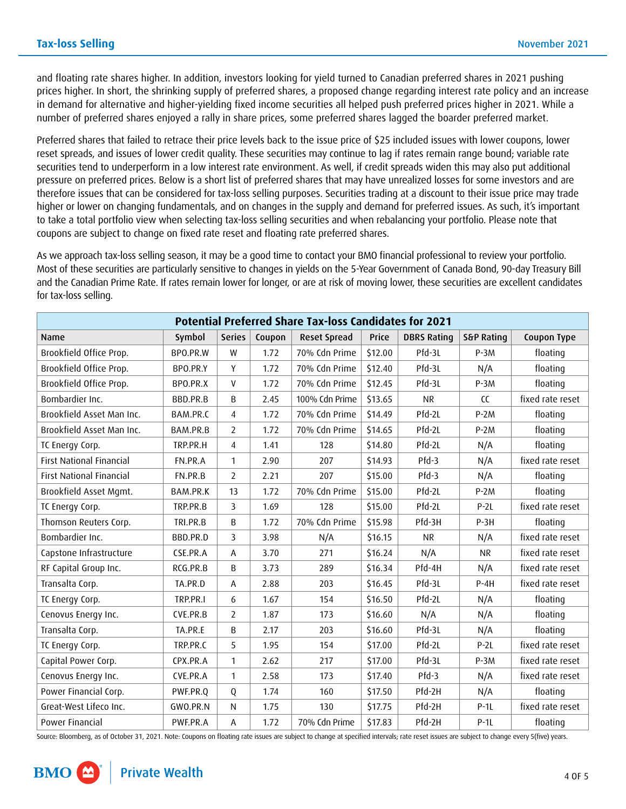and floating rate shares higher. In addition, investors looking for yield turned to Canadian preferred shares in 2021 pushing prices higher. In short, the shrinking supply of preferred shares, a proposed change regarding interest rate policy and an increase in demand for alternative and higher-yielding fixed income securities all helped push preferred prices higher in 2021. While a number of preferred shares enjoyed a rally in share prices, some preferred shares lagged the boarder preferred market.

Preferred shares that failed to retrace their price levels back to the issue price of \$25 included issues with lower coupons, lower reset spreads, and issues of lower credit quality. These securities may continue to lag if rates remain range bound; variable rate securities tend to underperform in a low interest rate environment. As well, if credit spreads widen this may also put additional pressure on preferred prices. Below is a short list of preferred shares that may have unrealized losses for some investors and are therefore issues that can be considered for tax-loss selling purposes. Securities trading at a discount to their issue price may trade higher or lower on changing fundamentals, and on changes in the supply and demand for preferred issues. As such, it's important to take a total portfolio view when selecting tax-loss selling securities and when rebalancing your portfolio. Please note that coupons are subject to change on fixed rate reset and floating rate preferred shares.

As we approach tax-loss selling season, it may be a good time to contact your BMO financial professional to review your portfolio. Most of these securities are particularly sensitive to changes in yields on the 5-Year Government of Canada Bond, 90-day Treasury Bill and the Canadian Prime Rate. If rates remain lower for longer, or are at risk of moving lower, these securities are excellent candidates for tax-loss selling.

| <b>Potential Preferred Share Tax-loss Candidates for 2021</b> |          |                |        |                     |         |                    |                       |                  |  |  |
|---------------------------------------------------------------|----------|----------------|--------|---------------------|---------|--------------------|-----------------------|------------------|--|--|
| Name                                                          | Symbol   | <b>Series</b>  | Coupon | <b>Reset Spread</b> | Price   | <b>DBRS Rating</b> | <b>S&amp;P Rating</b> | Coupon Type      |  |  |
| Brookfield Office Prop.                                       | BPO.PR.W | W              | 1.72   | 70% Cdn Prime       | \$12.00 | Pfd-3L             | $P-3M$                | floating         |  |  |
| Brookfield Office Prop.                                       | BPO.PR.Y | Y              | 1.72   | 70% Cdn Prime       | \$12.40 | Pfd-3L             | N/A                   | floating         |  |  |
| Brookfield Office Prop.                                       | BPO.PR.X | $\mathsf{V}$   | 1.72   | 70% Cdn Prime       | \$12.45 | Pfd-3L             | $P-3M$                | floating         |  |  |
| Bombardier Inc.                                               | BBD.PR.B | B              | 2.45   | 100% Cdn Prime      | \$13.65 | <b>NR</b>          | $\overline{c}$        | fixed rate reset |  |  |
| Brookfield Asset Man Inc.                                     | BAM.PR.C | 4              | 1.72   | 70% Cdn Prime       | \$14.49 | Pfd-2L             | $P-2M$                | floating         |  |  |
| Brookfield Asset Man Inc.                                     | BAM.PR.B | 2              | 1.72   | 70% Cdn Prime       | \$14.65 | Pfd-2L             | $P-2M$                | floating         |  |  |
| TC Energy Corp.                                               | TRP.PR.H | $\overline{4}$ | 1.41   | 128                 | \$14.80 | Pfd-2L             | N/A                   | floating         |  |  |
| <b>First National Financial</b>                               | FN.PR.A  | $\mathbf{1}$   | 2.90   | 207                 | \$14.93 | $Pfd-3$            | N/A                   | fixed rate reset |  |  |
| <b>First National Financial</b>                               | FN.PR.B  | 2              | 2.21   | 207                 | \$15.00 | $Pfd-3$            | N/A                   | floating         |  |  |
| Brookfield Asset Mgmt.                                        | BAM.PR.K | 13             | 1.72   | 70% Cdn Prime       | \$15.00 | Pfd-2L             | $P-2M$                | floating         |  |  |
| TC Energy Corp.                                               | TRP.PR.B | 3              | 1.69   | 128                 | \$15.00 | Pfd-2L             | $P-2L$                | fixed rate reset |  |  |
| Thomson Reuters Corp.                                         | TRI.PR.B | B              | 1.72   | 70% Cdn Prime       | \$15.98 | Pfd-3H             | $P-3H$                | floating         |  |  |
| Bombardier Inc.                                               | BBD.PR.D | 3              | 3.98   | N/A                 | \$16.15 | <b>NR</b>          | N/A                   | fixed rate reset |  |  |
| Capstone Infrastructure                                       | CSE.PR.A | A              | 3.70   | 271                 | \$16.24 | N/A                | <b>NR</b>             | fixed rate reset |  |  |
| RF Capital Group Inc.                                         | RCG.PR.B | B              | 3.73   | 289                 | \$16.34 | Pfd-4H             | N/A                   | fixed rate reset |  |  |
| Transalta Corp.                                               | TA.PR.D  | A              | 2.88   | 203                 | \$16.45 | Pfd-3L             | $P-4H$                | fixed rate reset |  |  |
| TC Energy Corp.                                               | TRP.PR.I | 6              | 1.67   | 154                 | \$16.50 | Pfd-2L             | N/A                   | floating         |  |  |
| Cenovus Energy Inc.                                           | CVE.PR.B | 2              | 1.87   | 173                 | \$16.60 | N/A                | N/A                   | floating         |  |  |
| Transalta Corp.                                               | TA.PR.E  | B              | 2.17   | 203                 | \$16.60 | Pfd-3L             | N/A                   | floating         |  |  |
| TC Energy Corp.                                               | TRP.PR.C | 5              | 1.95   | 154                 | \$17.00 | Pfd-2L             | $P-2L$                | fixed rate reset |  |  |
| Capital Power Corp.                                           | CPX.PR.A | $\mathbf{1}$   | 2.62   | 217                 | \$17.00 | Pfd-3L             | $P-3M$                | fixed rate reset |  |  |
| Cenovus Energy Inc.                                           | CVE.PR.A | 1              | 2.58   | 173                 | \$17.40 | $Pfd-3$            | N/A                   | fixed rate reset |  |  |
| Power Financial Corp.                                         | PWF.PR.Q | Q              | 1.74   | 160                 | \$17.50 | Pfd-2H             | N/A                   | floating         |  |  |
| Great-West Lifeco Inc.                                        | GWO.PR.N | $\mathsf{N}$   | 1.75   | 130                 | \$17.75 | Pfd-2H             | $P-1L$                | fixed rate reset |  |  |
| Power Financial                                               | PWF.PR.A | Α              | 1.72   | 70% Cdn Prime       | \$17.83 | Pfd-2H             | $P-1L$                | floating         |  |  |

Source: Bloomberg, as of October 31, 2021. Note: Coupons on floating rate issues are subject to change at specified intervals; rate reset issues are subject to change every 5 (five) years.